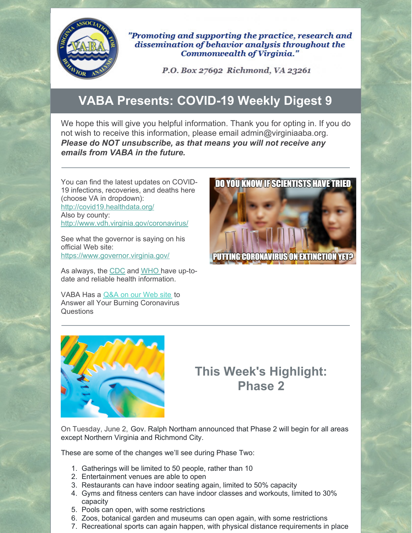

"Promoting and supporting the practice, research and dissemination of behavior analysis throughout the Commonwealth of Virginia."

P.O. Box 27692 Richmond, VA 23261

## **VABA Presents: COVID-19 Weekly Digest 9**

We hope this will give you helpful information. Thank you for opting in. If you do not wish to receive this information, please email admin@virginiaaba.org. *Please do NOT unsubscribe, as that means you will not receive any emails from VABA in the future.*

You can find the latest updates on COVID-19 infections, recoveries, and deaths here (choose VA in dropdown): <http://covid19.healthdata.org/> Also by county: <http://www.vdh.virginia.gov/coronavirus/>

See what the governor is saying on his official Web site: <https://www.governor.virginia.gov/>

As always, the [CDC](https://www.cdc.gov/coronavirus/2019-nCoV/index.html) and [WHO](https://www.who.int/emergencies/diseases/novel-coronavirus-2019) have up-todate and reliable health information.

VABA Has a [Q&A](https://www.virginiaaba.org/information-on-covid-19/) on our Web site to Answer all Your Burning Coronavirus Questions





## **This Week's Highlight: Phase 2**

On Tuesday, June 2, Gov. Ralph Northam announced that Phase 2 will begin for all areas except Northern Virginia and Richmond City.

These are some of the changes we'll see during Phase Two:

- 1. Gatherings will be limited to 50 people, rather than 10
- 2. Entertainment venues are able to open
- 3. Restaurants can have indoor seating again, limited to 50% capacity
- 4. Gyms and fitness centers can have indoor classes and workouts, limited to 30% capacity
- 5. Pools can open, with some restrictions
- 6. Zoos, botanical garden and museums can open again, with some restrictions
- 7. Recreational sports can again happen, with physical distance requirements in place